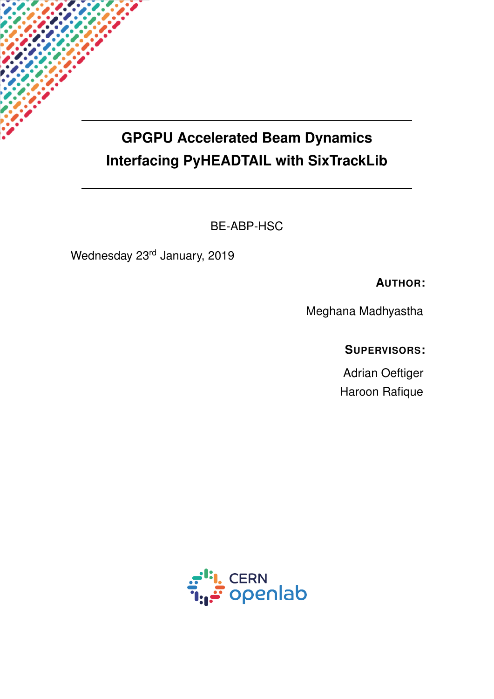## <span id="page-0-0"></span>**GPGPU Accelerated Beam Dynamics Interfacing PyHEADTAIL with SixTrackLib**

BE-ABP-HSC

Wednesday 23rd January, 2019

**AUTHOR:**

Meghana Madhyastha

**SUPERVISORS:**

Adrian Oeftiger Haroon Rafique

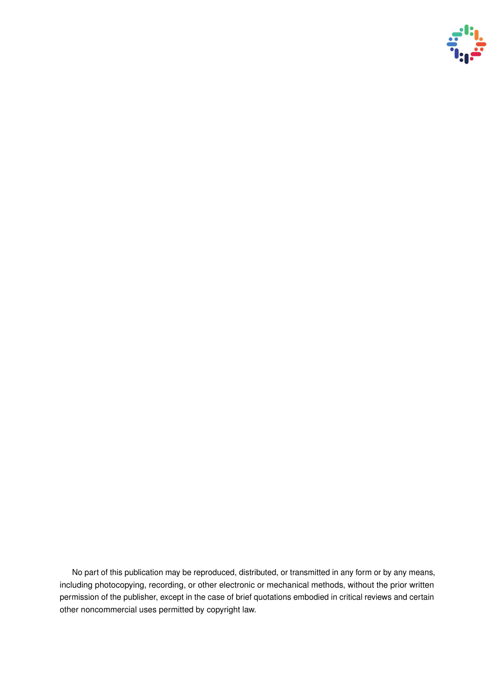

No part of this publication may be reproduced, distributed, or transmitted in any form or by any means, including photocopying, recording, or other electronic or mechanical methods, without the prior written permission of the publisher, except in the case of brief quotations embodied in critical reviews and certain other noncommercial uses permitted by copyright law.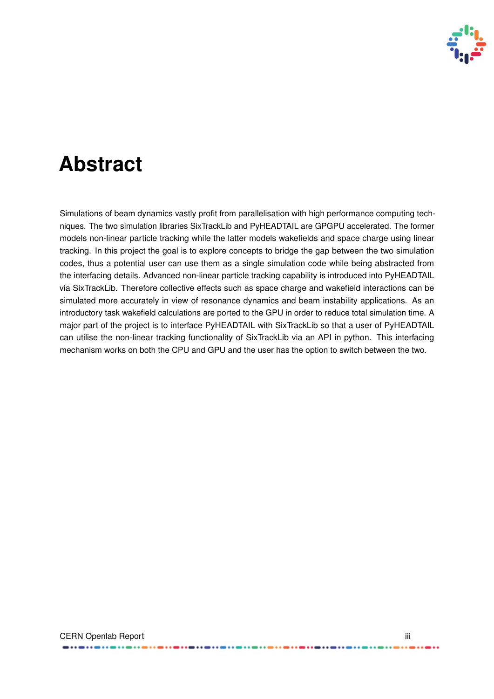

## **Abstract**

Simulations of beam dynamics vastly profit from parallelisation with high performance computing techniques. The two simulation libraries SixTrackLib and PyHEADTAIL are GPGPU accelerated. The former models non-linear particle tracking while the latter models wakefields and space charge using linear tracking. In this project the goal is to explore concepts to bridge the gap between the two simulation codes, thus a potential user can use them as a single simulation code while being abstracted from the interfacing details. Advanced non-linear particle tracking capability is introduced into PyHEADTAIL via SixTrackLib. Therefore collective effects such as space charge and wakefield interactions can be simulated more accurately in view of resonance dynamics and beam instability applications. As an introductory task wakefield calculations are ported to the GPU in order to reduce total simulation time. A major part of the project is to interface PyHEADTAIL with SixTrackLib so that a user of PyHEADTAIL can utilise the non-linear tracking functionality of SixTrackLib via an API in python. This interfacing mechanism works on both the CPU and GPU and the user has the option to switch between the two.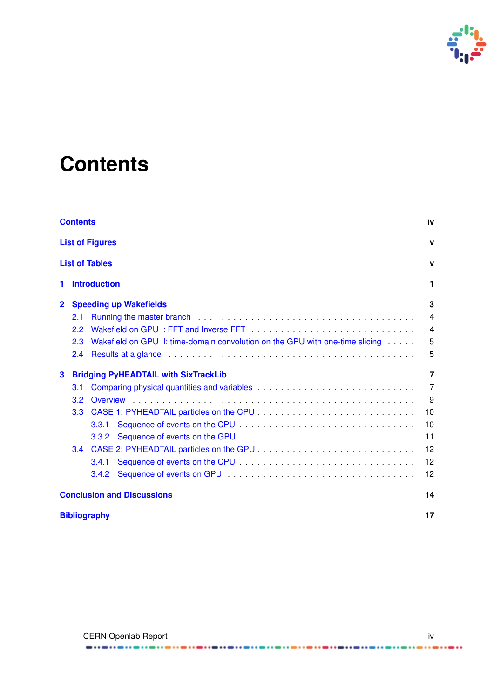

# <span id="page-3-0"></span>**Contents**

|                | iv<br><b>Contents</b> |                                                                               |                |  |
|----------------|-----------------------|-------------------------------------------------------------------------------|----------------|--|
|                |                       | <b>List of Figures</b>                                                        | $\mathbf v$    |  |
|                |                       | <b>List of Tables</b>                                                         | $\mathbf{v}$   |  |
| 1              |                       | <b>Introduction</b>                                                           | 1              |  |
| $\overline{2}$ |                       | <b>Speeding up Wakefields</b>                                                 | 3              |  |
|                | 2.1                   |                                                                               | $\overline{4}$ |  |
|                | 2.2                   |                                                                               | $\overline{4}$ |  |
|                | 2.3                   | Wakefield on GPU II: time-domain convolution on the GPU with one-time slicing | 5              |  |
|                | 2.4                   |                                                                               | 5              |  |
| 3              |                       | <b>Bridging PyHEADTAIL with SixTrackLib</b>                                   | 7              |  |
|                | 3.1                   |                                                                               | $\overline{7}$ |  |
|                | 3.2                   |                                                                               | 9              |  |
|                | 3.3 <sub>2</sub>      |                                                                               | 10             |  |
|                |                       | 3.3.1                                                                         | 10             |  |
|                |                       | 3.3.2                                                                         | 11             |  |
|                | $3.4^{\circ}$         |                                                                               | 12             |  |
|                |                       | 3.4.1                                                                         | 12             |  |
|                |                       | 3.4.2                                                                         | 12             |  |
|                |                       | <b>Conclusion and Discussions</b>                                             | 14             |  |
|                |                       | <b>Bibliography</b>                                                           | 17             |  |

. . . . . . . . . . .

...

 $-11 - 11$ 

......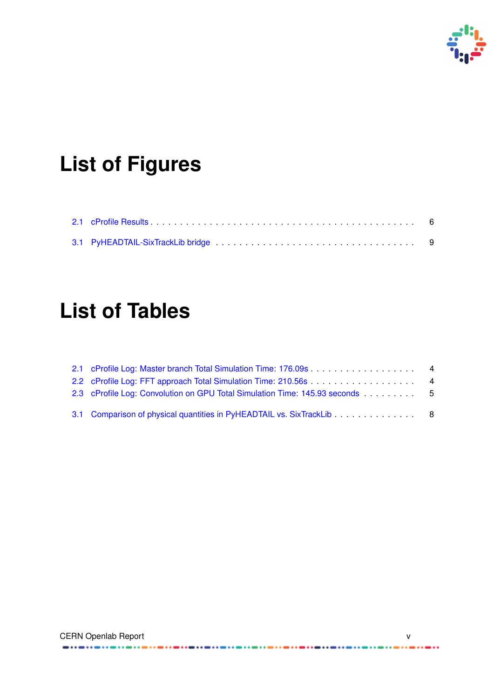

# <span id="page-4-0"></span>**List of Figures**

<span id="page-4-1"></span>

# **List of Tables**

| 2.1 cProfile Log: Master branch Total Simulation Time: 176.09s 4      |  |
|-----------------------------------------------------------------------|--|
| 2.2 cProfile Log: FFT approach Total Simulation Time: 210.56s 4       |  |
|                                                                       |  |
| 3.1 Comparison of physical quantities in PyHEADTAIL vs. SixTrackLib 8 |  |

......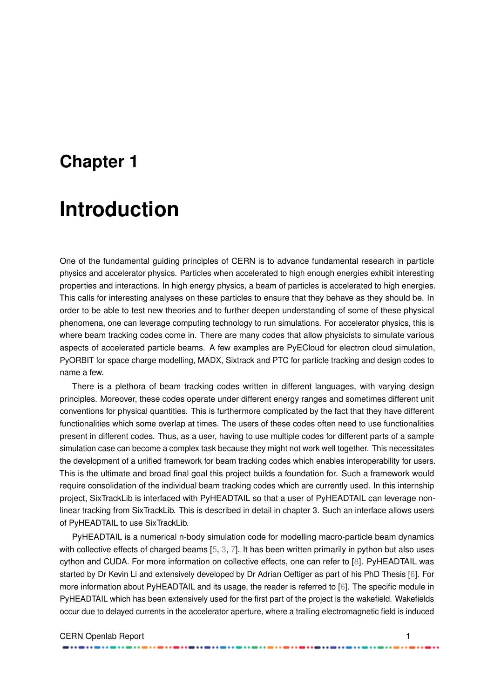## <span id="page-5-1"></span><span id="page-5-0"></span>**Chapter 1**

## **Introduction**

One of the fundamental guiding principles of CERN is to advance fundamental research in particle physics and accelerator physics. Particles when accelerated to high enough energies exhibit interesting properties and interactions. In high energy physics, a beam of particles is accelerated to high energies. This calls for interesting analyses on these particles to ensure that they behave as they should be. In order to be able to test new theories and to further deepen understanding of some of these physical phenomena, one can leverage computing technology to run simulations. For accelerator physics, this is where beam tracking codes come in. There are many codes that allow physicists to simulate various aspects of accelerated particle beams. A few examples are PyECloud for electron cloud simulation, PyORBIT for space charge modelling, MADX, Sixtrack and PTC for particle tracking and design codes to name a few.

There is a plethora of beam tracking codes written in different languages, with varying design principles. Moreover, these codes operate under different energy ranges and sometimes different unit conventions for physical quantities. This is furthermore complicated by the fact that they have different functionalities which some overlap at times. The users of these codes often need to use functionalities present in different codes. Thus, as a user, having to use multiple codes for different parts of a sample simulation case can become a complex task because they might not work well together. This necessitates the development of a unified framework for beam tracking codes which enables interoperability for users. This is the ultimate and broad final goal this project builds a foundation for. Such a framework would require consolidation of the individual beam tracking codes which are currently used. In this internship project, SixTrackLib is interfaced with PyHEADTAIL so that a user of PyHEADTAIL can leverage nonlinear tracking from SixTrackLib. This is described in detail in chapter 3. Such an interface allows users of PyHEADTAIL to use SixTrackLib.

PyHEADTAIL is a numerical n-body simulation code for modelling macro-particle beam dynamics with collective effects of charged beams [\[5,](#page-21-1) [3,](#page-21-2) [7\]](#page-21-3). It has been written primarily in python but also uses cython and CUDA. For more information on collective effects, one can refer to [\[8\]](#page-21-4). PyHEADTAIL was started by Dr Kevin Li and extensively developed by Dr Adrian Oeftiger as part of his PhD Thesis [\[6\]](#page-21-5). For more information about PyHEADTAIL and its usage, the reader is referred to [\[6\]](#page-21-5). The specific module in PyHEADTAIL which has been extensively used for the first part of the project is the wakefield. Wakefields occur due to delayed currents in the accelerator aperture, where a trailing electromagnetic field is induced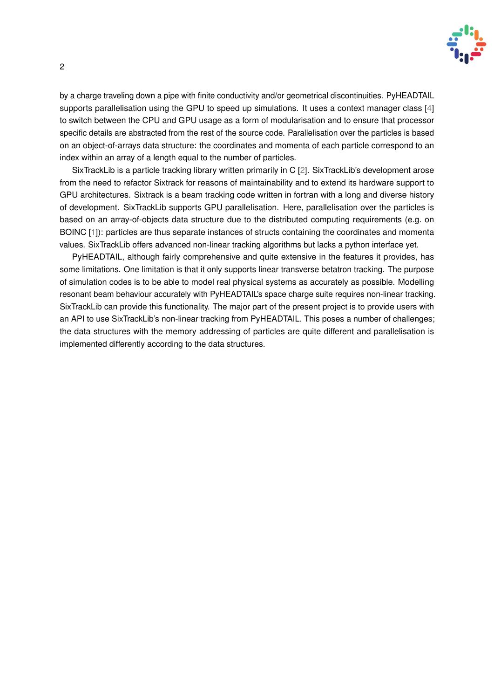

<span id="page-6-0"></span>by a charge traveling down a pipe with finite conductivity and/or geometrical discontinuities. PyHEADTAIL supports parallelisation using the GPU to speed up simulations. It uses a context manager class [\[4\]](#page-21-6) to switch between the CPU and GPU usage as a form of modularisation and to ensure that processor specific details are abstracted from the rest of the source code. Parallelisation over the particles is based on an object-of-arrays data structure: the coordinates and momenta of each particle correspond to an index within an array of a length equal to the number of particles.

SixTrackLib is a particle tracking library written primarily in C [\[2\]](#page-21-7). SixTrackLib's development arose from the need to refactor Sixtrack for reasons of maintainability and to extend its hardware support to GPU architectures. Sixtrack is a beam tracking code written in fortran with a long and diverse history of development. SixTrackLib supports GPU parallelisation. Here, parallelisation over the particles is based on an array-of-objects data structure due to the distributed computing requirements (e.g. on BOINC [\[1\]](#page-21-8)): particles are thus separate instances of structs containing the coordinates and momenta values. SixTrackLib offers advanced non-linear tracking algorithms but lacks a python interface yet.

PyHEADTAIL, although fairly comprehensive and quite extensive in the features it provides, has some limitations. One limitation is that it only supports linear transverse betatron tracking. The purpose of simulation codes is to be able to model real physical systems as accurately as possible. Modelling resonant beam behaviour accurately with PyHEADTAIL's space charge suite requires non-linear tracking. SixTrackLib can provide this functionality. The major part of the present project is to provide users with an API to use SixTrackLib's non-linear tracking from PyHEADTAIL. This poses a number of challenges; the data structures with the memory addressing of particles are quite different and parallelisation is implemented differently according to the data structures.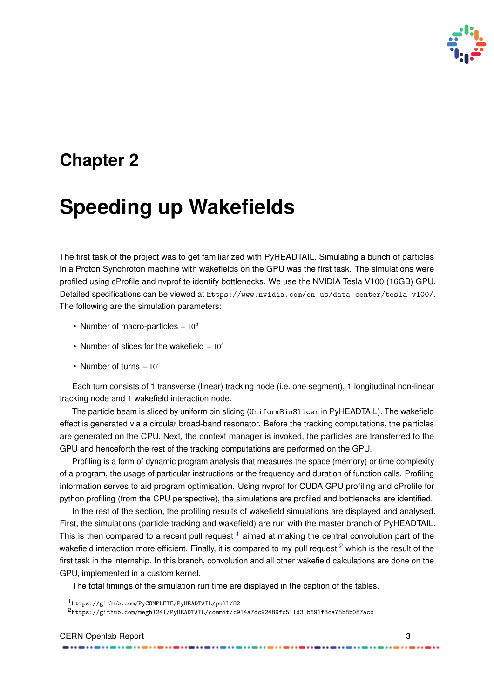

## <span id="page-7-0"></span>**Chapter 2**

## **Speeding up Wakefields**

The first task of the project was to get familiarized with PyHEADTAIL. Simulating a bunch of particles in a Proton Synchroton machine with wakefields on the GPU was the first task. The simulations were profiled using cProfile and nvprof to identify bottlenecks. We use the NVIDIA Tesla V100 (16GB) GPU. Detailed specifications can be viewed at <https://www.nvidia.com/en-us/data-center/tesla-v100/>. The following are the simulation parameters:

- Number of macro-particles  $= 10^6$
- Number of slices for the wakefield =  $10<sup>4</sup>$
- Number of turns =  $10^4$

Each turn consists of 1 transverse (linear) tracking node (i.e. one segment), 1 longitudinal non-linear tracking node and 1 wakefield interaction node.

The particle beam is sliced by uniform bin slicing (UniformBinSlicer in PyHEADTAIL). The wakefield effect is generated via a circular broad-band resonator. Before the tracking computations, the particles are generated on the CPU. Next, the context manager is invoked, the particles are transferred to the GPU and henceforth the rest of the tracking computations are performed on the GPU.

Profiling is a form of dynamic program analysis that measures the space (memory) or time complexity of a program, the usage of particular instructions or the frequency and duration of function calls. Profiling information serves to aid program optimisation. Using nvprof for CUDA GPU profiling and cProfile for python profiling (from the CPU perspective), the simulations are profiled and bottlenecks are identified.

In the rest of the section, the profiling results of wakefield simulations are displayed and analysed. First, the simulations (particle tracking and wakefield) are run with the master branch of PyHEADTAIL. This is then compared to a recent pull request  $1$  aimed at making the central convolution part of the wakefield interaction more efficient. Finally, it is compared to my pull request  $2$  which is the result of the first task in the internship. In this branch, convolution and all other wakefield calculations are done on the GPU, implemented in a custom kernel.

The total timings of the simulation run time are displayed in the caption of the tables.

<sup>1</sup><https://github.com/PyCOMPLETE/PyHEADTAIL/pull/82>

<sup>2</sup><https://github.com/megh1241/PyHEADTAIL/commit/c914a7dc92489fc511d31b691f3ca75b8b087acc>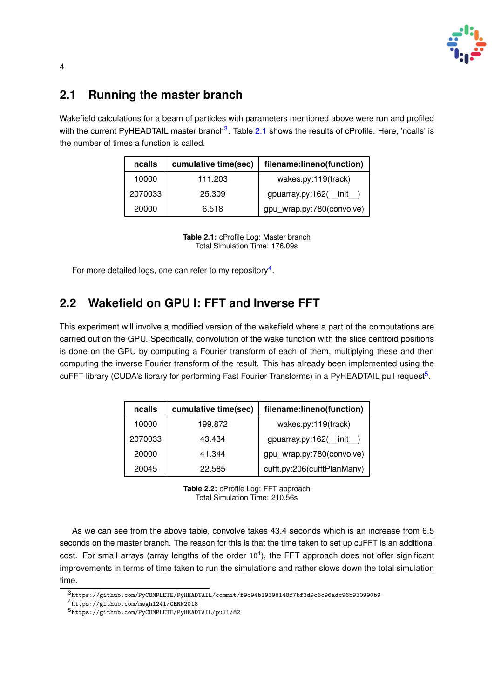

### <span id="page-8-0"></span>**2.1 Running the master branch**

<span id="page-8-2"></span>Wakefield calculations for a beam of particles with parameters mentioned above were run and profiled with the current PyHEADTAIL master branch<sup>[3](#page-0-0)</sup>. Table [2.1](#page-8-2) shows the results of cProfile. Here, 'ncalls' is the number of times a function is called.

| cumulative time(sec)<br>ncalls |        | filename:lineno(function)        |  |  |
|--------------------------------|--------|----------------------------------|--|--|
| 10000<br>111.203               |        | wakes.py:119(track)              |  |  |
| 2070033                        | 25.309 | $g$ puarray.py:162( $\quad$ init |  |  |
| 20000                          | 6.518  | gpu_wrap.py:780(convolve)        |  |  |

**Table 2.1:** cProfile Log: Master branch Total Simulation Time: 176.09s

For more detailed logs, one can refer to my repository $4$ .

### <span id="page-8-1"></span>**2.2 Wakefield on GPU I: FFT and Inverse FFT**

This experiment will involve a modified version of the wakefield where a part of the computations are carried out on the GPU. Specifically, convolution of the wake function with the slice centroid positions is done on the GPU by computing a Fourier transform of each of them, multiplying these and then computing the inverse Fourier transform of the result. This has already been implemented using the cuFFT library (CUDA's library for performing Fast Fourier Transforms) in a PyHEADTAIL pull request<sup>[5](#page-0-0)</sup>.

<span id="page-8-3"></span>

| ncalls  | cumulative time(sec) | filename:lineno(function)           |  |  |
|---------|----------------------|-------------------------------------|--|--|
| 10000   | 199.872              | wakes.py:119(track)                 |  |  |
| 2070033 | 43.434               | $g$ puarray.py:162( $\text{init}$ ) |  |  |
| 20000   | 41.344               | gpu_wrap.py:780(convolve)           |  |  |
| 20045   | 22.585               | cufft.py:206(cufftPlanMany)         |  |  |

**Table 2.2:** cProfile Log: FFT approach Total Simulation Time: 210.56s

As we can see from the above table, convolve takes 43.4 seconds which is an increase from 6.5 seconds on the master branch. The reason for this is that the time taken to set up cuFFT is an additional cost. For small arrays (array lengths of the order  $10<sup>4</sup>$ ), the FFT approach does not offer significant improvements in terms of time taken to run the simulations and rather slows down the total simulation time.

<sup>3</sup>[https://github.com/PyCOMPLETE/PyHEADTAIL/commit/f9c94b19398148f7bf3d9c6c96adc96b930990b9](https://github.com/PyCOMPLETE/PyHEADTAIL/commit /f9c94b19398148f7bf3d9c6c96adc96b930990b9)

<sup>4</sup><https://github.com/megh1241/CERN2018>

<sup>5</sup><https://github.com/PyCOMPLETE/PyHEADTAIL/pull/82>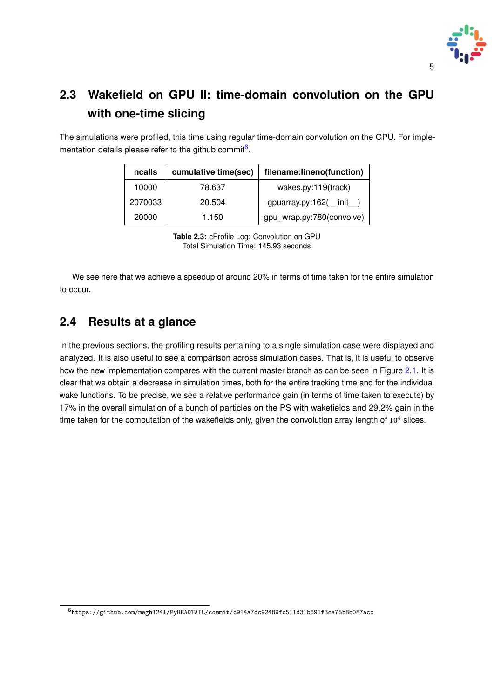

## <span id="page-9-0"></span>**2.3 Wakefield on GPU II: time-domain convolution on the GPU with one-time slicing**

<span id="page-9-2"></span>The simulations were profiled, this time using regular time-domain convolution on the GPU. For imple-mentation details please refer to the github commit<sup>[6](#page-0-0)</sup>.

| ncalls  | cumulative time(sec) | filename:lineno(function)        |  |  |
|---------|----------------------|----------------------------------|--|--|
| 10000   | 78.637               | wakes.py:119(track)              |  |  |
| 2070033 | 20.504               | $g$ puarray.py:162( $\quad$ init |  |  |
| 20000   | 1.150                | gpu_wrap.py:780(convolve)        |  |  |

**Table 2.3:** cProfile Log: Convolution on GPU Total Simulation Time: 145.93 seconds

We see here that we achieve a speedup of around 20% in terms of time taken for the entire simulation to occur.

### <span id="page-9-1"></span>**2.4 Results at a glance**

In the previous sections, the profiling results pertaining to a single simulation case were displayed and analyzed. It is also useful to see a comparison across simulation cases. That is, it is useful to observe how the new implementation compares with the current master branch as can be seen in Figure [2.1.](#page-10-0) It is clear that we obtain a decrease in simulation times, both for the entire tracking time and for the individual wake functions. To be precise, we see a relative performance gain (in terms of time taken to execute) by 17% in the overall simulation of a bunch of particles on the PS with wakefields and 29.2% gain in the time taken for the computation of the wakefields only, given the convolution array length of  $10<sup>4</sup>$  slices.

 $^6$ <https://github.com/megh1241/PyHEADTAIL/commit/c914a7dc92489fc511d31b691f3ca75b8b087acc>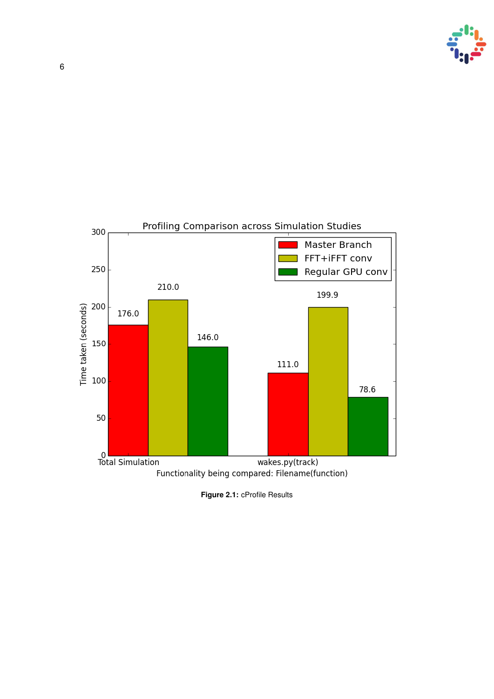

<span id="page-10-0"></span>

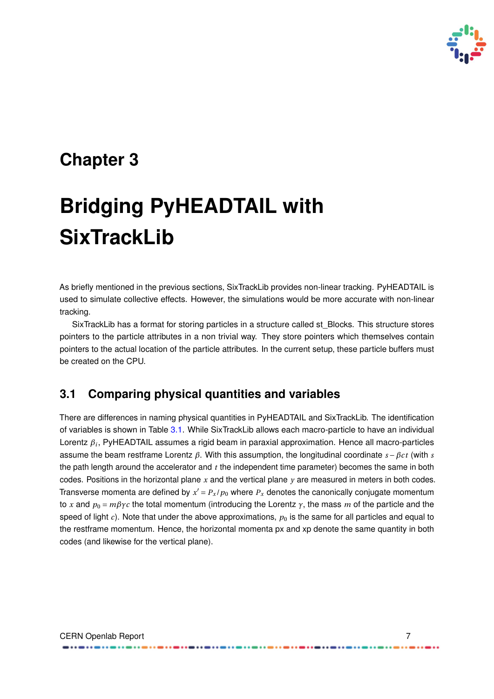

## <span id="page-11-0"></span>**Chapter 3**

# **Bridging PyHEADTAIL with SixTrackLib**

As briefly mentioned in the previous sections, SixTrackLib provides non-linear tracking. PyHEADTAIL is used to simulate collective effects. However, the simulations would be more accurate with non-linear tracking.

SixTrackLib has a format for storing particles in a structure called st\_Blocks. This structure stores pointers to the particle attributes in a non trivial way. They store pointers which themselves contain pointers to the actual location of the particle attributes. In the current setup, these particle buffers must be created on the CPU.

### <span id="page-11-1"></span>**3.1 Comparing physical quantities and variables**

There are differences in naming physical quantities in PyHEADTAIL and SixTrackLib. The identification of variables is shown in Table [3.1.](#page-12-0) While SixTrackLib allows each macro-particle to have an individual Lorentz *β<sup>i</sup>* , PyHEADTAIL assumes a rigid beam in paraxial approximation. Hence all macro-particles assume the beam restframe Lorentz *β*. With this assumption, the longitudinal coordinate *s* −*βc t* (with *s* the path length around the accelerator and *t* the independent time parameter) becomes the same in both codes. Positions in the horizontal plane  $x$  and the vertical plane  $y$  are measured in meters in both codes. Transverse momenta are defined by  $x' = P_x / p_0$  where  $P_x$  denotes the canonically conjugate momentum to *x* and  $p_0 = m\beta\gamma c$  the total momentum (introducing the Lorentz  $\gamma$ , the mass *m* of the particle and the speed of light  $c$ ). Note that under the above approximations,  $p_0$  is the same for all particles and equal to the restframe momentum. Hence, the horizontal momenta px and xp denote the same quantity in both codes (and likewise for the vertical plane).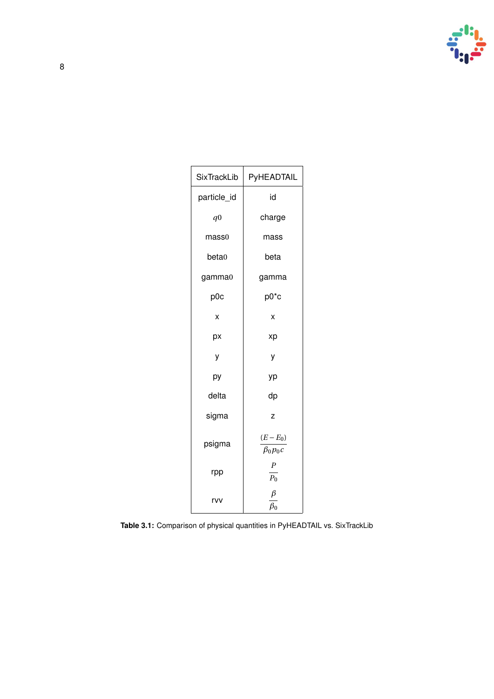

<span id="page-12-0"></span>

| <b>SixTrackLib</b> | PyHEADTAIL                     |  |  |  |
|--------------------|--------------------------------|--|--|--|
| particle_id        | id                             |  |  |  |
| q <sub>0</sub>     | charge                         |  |  |  |
| mass <sub>0</sub>  | mass                           |  |  |  |
| beta0              | beta                           |  |  |  |
| gamma0             | gamma                          |  |  |  |
| p0c                | $p0^*c$                        |  |  |  |
| X                  | X                              |  |  |  |
| рx                 | xp                             |  |  |  |
| у                  | у                              |  |  |  |
| рy                 | уp                             |  |  |  |
| delta              | dp                             |  |  |  |
| sigma              | z                              |  |  |  |
| psigma             | $(E - E_0)$<br>$\beta_0 p_0 c$ |  |  |  |
| rpp                | $\boldsymbol{P}$<br>$P_0$      |  |  |  |
| rvv                | β<br>$\beta_0$                 |  |  |  |

**Table 3.1:** Comparison of physical quantities in PyHEADTAIL vs. SixTrackLib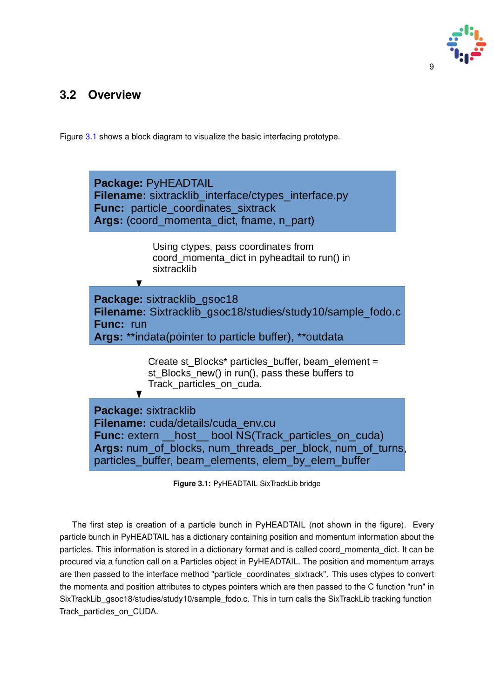

### <span id="page-13-0"></span>**3.2 Overview**

Figure [3.1](#page-13-1) shows a block diagram to visualize the basic interfacing prototype.

<span id="page-13-1"></span>

**Figure 3.1:** PyHEADTAIL-SixTrackLib bridge

The first step is creation of a particle bunch in PyHEADTAIL (not shown in the figure). Every particle bunch in PyHEADTAIL has a dictionary containing position and momentum information about the particles. This information is stored in a dictionary format and is called coord momenta dict. It can be procured via a function call on a Particles object in PyHEADTAIL. The position and momentum arrays are then passed to the interface method "particle\_coordinates\_sixtrack". This uses ctypes to convert the momenta and position attributes to ctypes pointers which are then passed to the C function "run" in SixTrackLib\_gsoc18/studies/study10/sample\_fodo.c. This in turn calls the SixTrackLib tracking function Track\_particles\_on\_CUDA.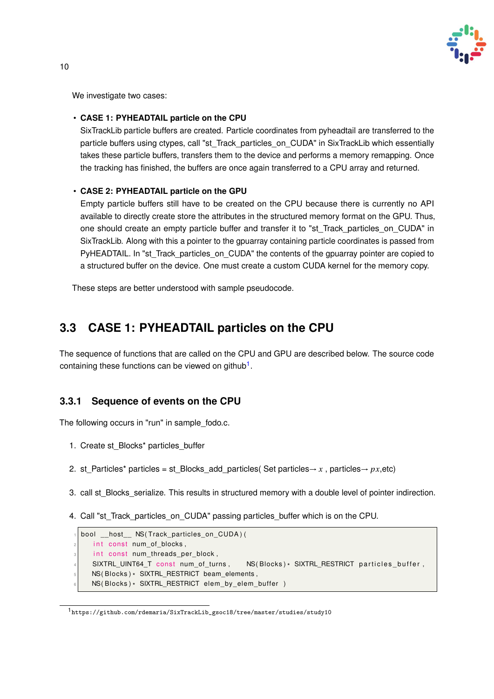

We investigate two cases:

#### • **CASE 1: PYHEADTAIL particle on the CPU**

SixTrackLib particle buffers are created. Particle coordinates from pyheadtail are transferred to the particle buffers using ctypes, call "st\_Track\_particles\_on\_CUDA" in SixTrackLib which essentially takes these particle buffers, transfers them to the device and performs a memory remapping. Once the tracking has finished, the buffers are once again transferred to a CPU array and returned.

#### • **CASE 2: PYHEADTAIL particle on the GPU**

Empty particle buffers still have to be created on the CPU because there is currently no API available to directly create store the attributes in the structured memory format on the GPU. Thus, one should create an empty particle buffer and transfer it to "st\_Track\_particles\_on\_CUDA" in SixTrackLib. Along with this a pointer to the gpuarray containing particle coordinates is passed from PyHEADTAIL. In "st\_Track\_particles\_on\_CUDA" the contents of the gpuarray pointer are copied to a structured buffer on the device. One must create a custom CUDA kernel for the memory copy.

These steps are better understood with sample pseudocode.

### <span id="page-14-0"></span>**3.3 CASE 1: PYHEADTAIL particles on the CPU**

The sequence of functions that are called on the CPU and GPU are described below. The source code containing these functions can be viewed on github<sup>[1](#page-0-0)</sup>.

#### <span id="page-14-1"></span>**3.3.1 Sequence of events on the CPU**

The following occurs in "run" in sample fodo.c.

- 1. Create st\_Blocks\* particles\_buffer
- 2. st Particles\* particles = st Blocks add particles( Set particles  $\rightarrow$  *x* , particles  $\rightarrow$  *px*,etc)
- 3. call st Blocks serialize. This results in structured memory with a double level of pointer indirection.
- 4. Call "st\_Track\_particles\_on\_CUDA" passing particles\_buffer which is on the CPU.

| bool host NS(Track particles on CUDA)(                                                 |
|----------------------------------------------------------------------------------------|
| int const num of blocks,                                                               |
| int const num threads per block,                                                       |
| $NS(Blocks)*$ SIXTRL RESTRICT particles buffer,<br>SIXTRL UINT64 T const num of turns, |
| $NS(Blocks)*$ SIXTRL RESTRICT beam elements,                                           |
| $NS(Blocks)*$ SIXTRL RESTRICT elem by elem buffer $)$                                  |
|                                                                                        |

<sup>1</sup>[https://github.com/rdemaria/SixTrackLib\\_gsoc18/tree/master/studies/study10](https://github.com/rdemaria/SixTrackLib_gsoc18/tree/master/studies/study10)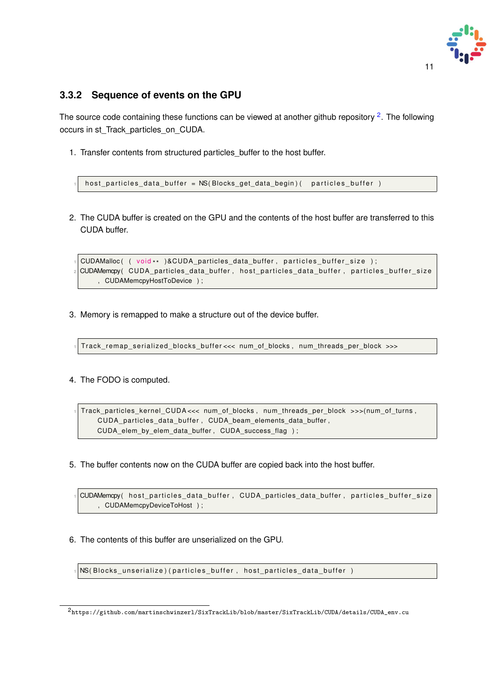

#### <span id="page-15-0"></span>**3.3.2 Sequence of events on the GPU**

The source code containing these functions can be viewed at another github repository <sup>[2](#page-0-0)</sup>. The following occurs in st\_Track\_particles\_on\_CUDA.

1. Transfer contents from structured particles\_buffer to the host buffer.

h ost\_particles\_data\_buffer = NS(Blocks\_get\_data\_begin)( particles\_buffer )

2. The CUDA buffer is created on the GPU and the contents of the host buffer are transferred to this CUDA buffer.

```
\frac{1}{10}CUDAMalloc( ( void** )&CUDA_particles_data_buffer,particles_buffer_size );
 CUDAMemcpy( CUDA_particles_data_buffer, host_particles_data_buffer, particles_buffer_size
      , CUDAMemcpyHostToDevice ) ;
```
3. Memory is remapped to make a structure out of the device buffer.

Track remap serialized blocks buffer<<< num of blocks, num threads per block >>>

4. The FODO is computed.

<sup>1</sup> T rack\_pa rticles\_ke rnel\_CUDA <<< num\_of\_blocks , num\_th reads\_pe r\_block >>>( num\_of\_turns , CUDA\_particles\_data\_buffer, CUDA\_beam\_elements\_data\_buffer, CUDA\_elem\_by\_elem\_data\_buffer , CUDA\_success\_flag ) ;

5. The buffer contents now on the CUDA buffer are copied back into the host buffer.

| √ CUDAMemcpy( host_particles_data_buffer,CUDA_particles_data_buffer,particles_buffer_size |  |  |  |  |
|-------------------------------------------------------------------------------------------|--|--|--|--|
| CUDAMemcpyDeviceToHost );                                                                 |  |  |  |  |

6. The contents of this buffer are unserialized on the GPU.

 $|NS(Blocks_unserialize)$  (particles buffer, host particles data buffer)

 $^2$ [https://github.com/martinschwinzerl/SixTrackLib/blob/master/SixTrackLib/CUDA/details/CUDA\\_env.cu](https://github.com/martinschwinzerl/SixTrackLib/blob/master/SixTrackLib/CUDA/details/CUDA_env.cu)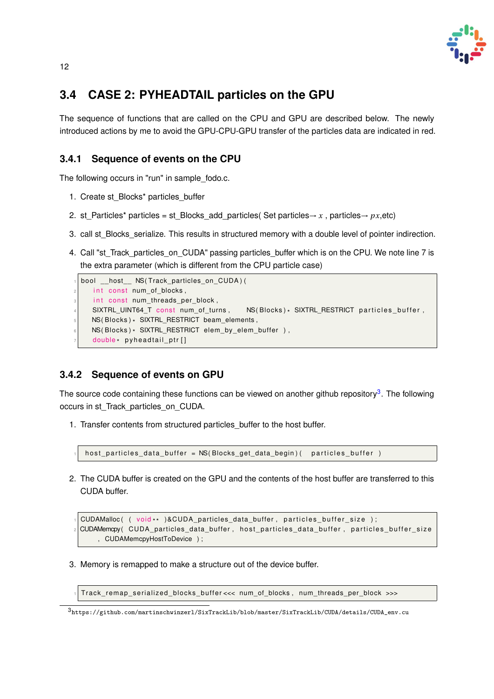

### <span id="page-16-0"></span>**3.4 CASE 2: PYHEADTAIL particles on the GPU**

The sequence of functions that are called on the CPU and GPU are described below. The newly introduced actions by me to avoid the GPU-CPU-GPU transfer of the particles data are indicated in red.

### <span id="page-16-1"></span>**3.4.1 Sequence of events on the CPU**

The following occurs in "run" in sample fodo.c.

- 1. Create st\_Blocks\* particles\_buffer
- 2. st\_Particles\* particles = st\_Blocks\_add\_particles( Set particles  $\rightarrow x$ , particles  $\rightarrow px,$ etc)
- 3. call st\_Blocks\_serialize. This results in structured memory with a double level of pointer indirection.
- 4. Call "st\_Track\_particles\_on\_CUDA" passing particles\_buffer which is on the CPU. We note line 7 is the extra parameter (which is different from the CPU particle case)

```
bool __host__ NS(Track_particles_on_CUDA) (
     int const num_of_blocks,
     int const num_threads_per_block,
     SIXTRL_UINT64_T_const_num_of_turns,
                                                     NS(Blocks) * SIXTRL RESTRICT particles buffer.
\mathsf{S} \big| \;\;\; NS( Blocks ) \star SIXTRL_RESTRICT beam_elements ,
\left\vert \mathfrak{s}\right\vert \quad NS(Blocks)* SIXTRL_RESTRICT elem_by_elem_buffer ),
\sigma double* pyheadtail_ptr[]
```
#### <span id="page-16-2"></span>**3.4.2 Sequence of events on GPU**

The source code containing these functions can be viewed on another github repository<sup>[3](#page-0-0)</sup>. The following occurs in st\_Track\_particles\_on\_CUDA.

1. Transfer contents from structured particles\_buffer to the host buffer.

```
h ost_particles_data_buffer = NS(Blocks_get_data_begin)( particles_buffer )
```
2. The CUDA buffer is created on the GPU and the contents of the host buffer are transferred to this CUDA buffer.

```
\frac{1}{10}CUDAMalloc( ( void** )&CUDA_particles_data_buffer,particles_buffer_size );
 CUDAMemcpy( CUDA_particles_data_buffer, host_particles_data_buffer, particles_buffer_size
      , CUDAMemcpyHostToDevice ) ;
```
3. Memory is remapped to make a structure out of the device buffer.

Track remap serialized blocks buffer <<< num\_of\_blocks, num\_threads\_per\_block >>>

<sup>3</sup>[https://github.com/martinschwinzerl/SixTrackLib/blob/master/SixTrackLib/CUDA/details/CUDA\\_env.cu](https://github.com/martinschwinzerl/SixTrackLib/blob/master/SixTrackLib/CUDA/details/CUDA_env.cu)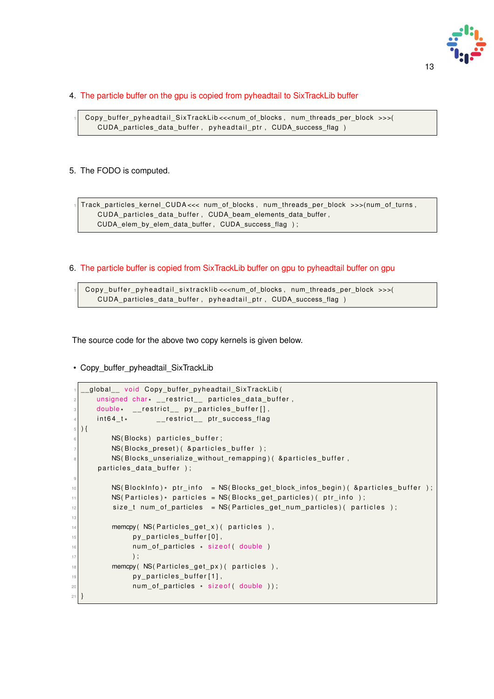

#### 4. The particle buffer on the gpu is copied from pyheadtail to SixTrackLib buffer

Copy\_buffer\_pyheadtail\_SixTrackLib <<<num\_of\_blocks, num\_threads\_per\_block >>>( CUDA\_particles\_data\_buffer, pyheadtail\_ptr, CUDA\_success\_flag )

#### 5. The FODO is computed.

<sup>1</sup> T rack\_pa rticles\_ke rnel\_CUDA <<< num\_of\_blocks , num\_th reads\_pe r\_block >>>( num\_of\_turns , CUDA\_particles\_data\_buffer, CUDA\_beam\_elements\_data\_buffer, CUDA elem by elem data buffer, CUDA success flag );

#### 6. The particle buffer is copied from SixTrackLib buffer on gpu to pyheadtail buffer on gpu

Copy\_buffer\_pyheadtail\_sixtracklib <<<num\_of\_blocks, num\_threads\_per\_block >>>( CUDA\_particles\_data\_buffer, py headtail\_ptr, CUDA\_success\_flag )

The source code for the above two copy kernels is given below.

• Copy buffer pyheadtail SixTrackLib

```
global_ void Copy_buffer_pyheadtail SixTrackLib(
 \mathbb{P} \big[ \qquad \qquad \text{unsigned char} \cdot \text{\_} \text{\_} \text{restrict} \text{\_} \text{\_} \text{particles\_data\_buffer} \big],\beta double \quad \_restrict\_ py\_particles\_buffer[],
 4 int64_t*
                                   __restrict__ ptr_success_flag
    \left( \right)NS(Blocks) particles_buffer;
                 NS( Blocks_preset) ( & particles_buffer );
                 NS(Blocks_unserialize_without_remapping) ( & particles_buffer,
           particles_data_buffer );
 9
\log |\text{NS}(\text{BlockInfo})*\text{ptr\_info}|\ =\text{NS}(\text{Block\_get\_block\_info\_begin}(\text{Lap}(\text{Eop}(\text{Block}*\text{Cop}*\text{Cop}*\text{Cop}*\text{Cop}*\text{Cop}*\text{Cop}*\text{Cop}*\text{Cop}*\text{Cop}*\text{Cop}*\text{Cop}*\text{Cop}*\text{Cop}*\text{Cop}*\text{Cop}*\text{Cop}*\text{Cop}*\text{Cop}*\text{Cop}*\text{Cop}*\text{Cop}*\text{Cop}*\text{Cop}*\text{Cop}*\text{Cop}*\text{Cop}*\text{Cop\left\vert \begin{array}{l l} \texttt{MS(Particles)}* \texttt{ particles = NS(Blocks\_get\_particles)}(\texttt{ptr\_info})\texttt{;} \end{array} \right.12 size_t num_of_particles = NS(Particles_get_num_particles)( particles);
13
\vert memcpy (NS( Particles get x) ( particles ),
\begin{array}{c|c} \hline \text{15} & \text{p} & \text{p} & \text{p} \end{array} p \text{p} articles _buffer [0],
16 num_of_particles * sizeof( double )
\begin{array}{c} \hline \end{array} );
\frac{18}{18} memcpy (NS(Particles get px) (particles),
\begin{array}{c|c} \text{19} & \text{19} & \text{10} \end{array}20 num_of_particles * sizeof( double ));
21
```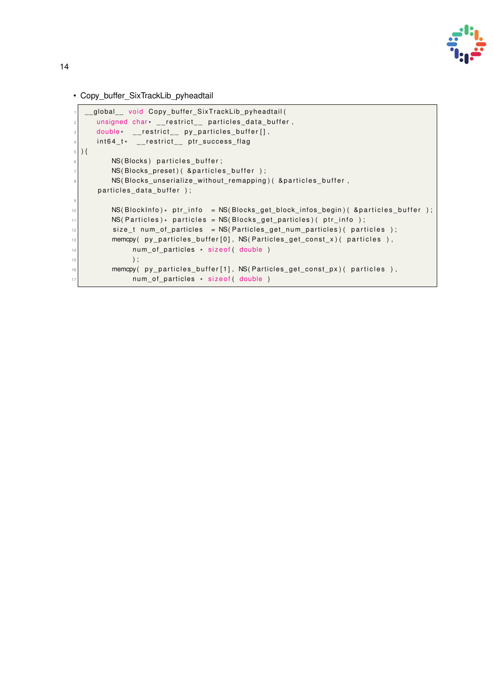

• Copy\_buffer\_SixTrackLib\_pyheadtail

```
global_ void Copy_buffer_SixTrackLib_pyheadtail(
 \alpha \mid \mid unsigned char\cdot \mid \mid restrict\mid \mid particles_data_buffer ,
 \beta double \quad \_restrict\_ py\_particles\_buffer[],
 ^4 int64_t* __restrict__ ptr_success_flag
  \left( \right)NS( Blocks) particles buffer;
            NS(Blocks_preset) ( & particles_buffer );
            NS(Blocks_unserialize_without_remapping)( &particles_buffer,
       particles_data_buffer );
 9
10 NS(BlockInfo)* ptr_info = NS(Blocks_get_block_infos_begin)( &particles_buffer );
\left\vert \begin{array}{l l} \texttt{MS(Particles)}\ast \texttt{ particles = NS(Blocks\_get\_particles)}(\texttt{ptr\_info})\,; \end{array} \right.12 size_t num_of_particles = NS(Particles_get_num_particles)( particles );
\frac{1}{13} memcpy( py_particles_buffer[0], NS(Particles_get_const_x)( particles ),
\begin{bmatrix} 14 \end{bmatrix} num_of_particles \star sizeof( double )
\begin{array}{c} \hline \end{array} , \begin{array}{c} \hline \end{array}16 memcpy (py_particles_buffer[1], NS(Particles_get_const_px) (particles),
\begin{bmatrix} 17 \end{bmatrix} num_of_particles \star sizeof( double )
```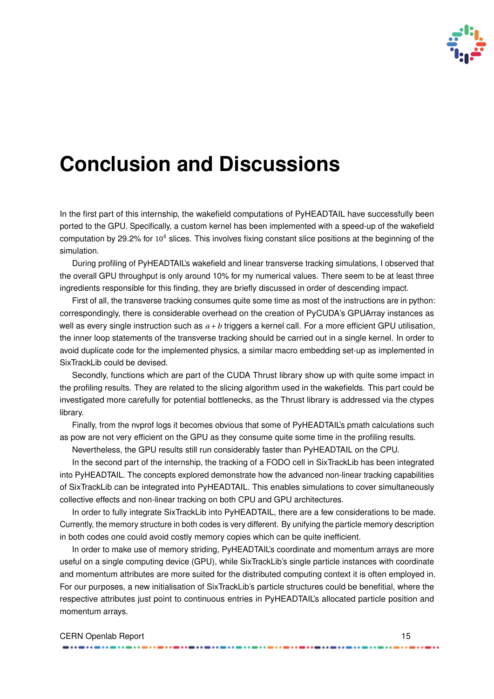

## **Conclusion and Discussions**

In the first part of this internship, the wakefield computations of PyHEADTAIL have successfully been ported to the GPU. Specifically, a custom kernel has been implemented with a speed-up of the wakefield computation by 29.2% for  $10<sup>4</sup>$  slices. This involves fixing constant slice positions at the beginning of the simulation.

During profiling of PyHEADTAIL's wakefield and linear transverse tracking simulations, I observed that the overall GPU throughput is only around 10% for my numerical values. There seem to be at least three ingredients responsible for this finding, they are briefly discussed in order of descending impact.

First of all, the transverse tracking consumes quite some time as most of the instructions are in python: correspondingly, there is considerable overhead on the creation of PyCUDA's GPUArray instances as well as every single instruction such as *a* +*b* triggers a kernel call. For a more efficient GPU utilisation, the inner loop statements of the transverse tracking should be carried out in a single kernel. In order to avoid duplicate code for the implemented physics, a similar macro embedding set-up as implemented in SixTrackLib could be devised.

Secondly, functions which are part of the CUDA Thrust library show up with quite some impact in the profiling results. They are related to the slicing algorithm used in the wakefields. This part could be investigated more carefully for potential bottlenecks, as the Thrust library is addressed via the ctypes library.

Finally, from the nvprof logs it becomes obvious that some of PyHEADTAIL's pmath calculations such as pow are not very efficient on the GPU as they consume quite some time in the profiling results.

Nevertheless, the GPU results still run considerably faster than PyHEADTAIL on the CPU.

In the second part of the internship, the tracking of a FODO cell in SixTrackLib has been integrated into PyHEADTAIL. The concepts explored demonstrate how the advanced non-linear tracking capabilities of SixTrackLib can be integrated into PyHEADTAIL. This enables simulations to cover simultaneously collective effects and non-linear tracking on both CPU and GPU architectures.

In order to fully integrate SixTrackLib into PyHEADTAIL, there are a few considerations to be made. Currently, the memory structure in both codes is very different. By unifying the particle memory description in both codes one could avoid costly memory copies which can be quite inefficient.

In order to make use of memory striding, PyHEADTAIL's coordinate and momentum arrays are more useful on a single computing device (GPU), while SixTrackLib's single particle instances with coordinate and momentum attributes are more suited for the distributed computing context it is often employed in. For our purposes, a new initialisation of SixTrackLib's particle structures could be benefitial, where the respective attributes just point to continuous entries in PyHEADTAIL's allocated particle position and momentum arrays.

| <b>CERN Openlab Report</b> |  |
|----------------------------|--|
|                            |  |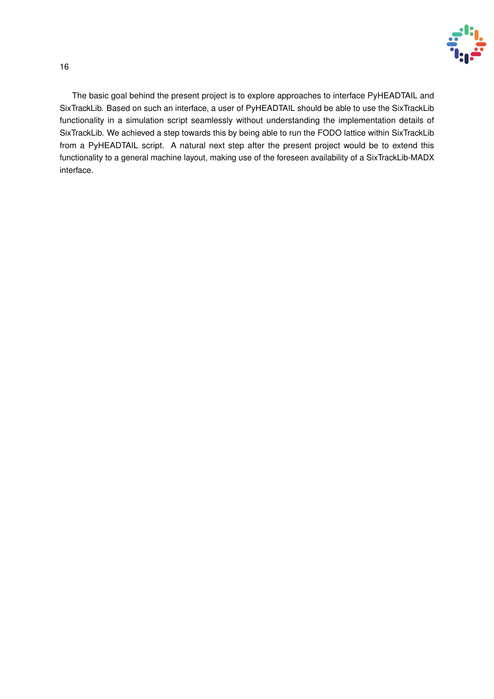

The basic goal behind the present project is to explore approaches to interface PyHEADTAIL and SixTrackLib. Based on such an interface, a user of PyHEADTAIL should be able to use the SixTrackLib functionality in a simulation script seamlessly without understanding the implementation details of SixTrackLib. We achieved a step towards this by being able to run the FODO lattice within SixTrackLib from a PyHEADTAIL script. A natural next step after the present project would be to extend this functionality to a general machine layout, making use of the foreseen availability of a SixTrackLib-MADX interface.